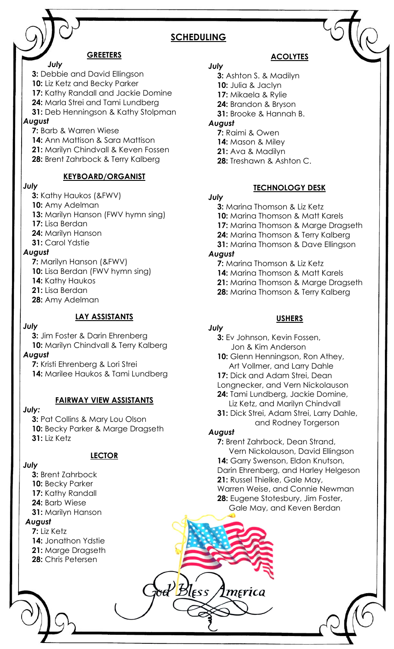# **SCHEDULING**

#### **GREETERS**

 *July*

**3:** Debbie and David Ellingson

- 10: Liz Ketz and Becky Parker **17:** Kathy Randall and Jackie Domine
- **24:** Marla Strei and Tami Lundberg
- 
- **31:** Deb Henningson & Kathy Stolpman *August*
	- **7:** Barb & Warren Wiese
	- **14:** Ann Mattison & Sara Mattison
	- **21:** Marilyn Chindvall & Keven Fossen
	- **28:** Brent Zahrbock & Terry Kalberg

# **KEYBOARD/ORGANIST**

#### *July*

- **3:** Kathy Haukos (&FWV)
- 10: Amy Adelman
- **13:** Marilyn Hanson (FWV hymn sing)
- **17:** Lisa Berdan
- **24:** Marilyn Hanson
- **31:** Carol Ydstie

#### *August*

- **7:** Marilyn Hanson (&FWV)
- **10:** Lisa Berdan (FWV hymn sing)
- 14: Kathy Haukos
- **21:** Lisa Berdan
- **28:** Amy Adelman

# **LAY ASSISTANTS**

#### *July*

- **3:** Jim Foster & Darin Ehrenberg 10: Marilyn Chindvall & Terry Kalberg *August*
	- **7:** Kristi Ehrenberg & Lori Strei
	- **14:** Marilee Haukos & Tami Lundberg

#### **FAIRWAY VIEW ASSISTANTS**

#### *July:*

**3:** Pat Collins & Mary Lou Olson 10: Becky Parker & Marge Dragseth **31:** Liz Ketz

# **LECTOR**

# *July*

- **3:** Brent Zahrbock 10: Becky Parker **17:** Kathy Randall **24:** Barb Wiese **31:** Marilyn Hanson *August* **7:** Liz Ketz **14:** Jonathon Ydstie **21:** Marge Dragseth
	- **28:** Chris Petersen

# **ACOLYTES**

- *July* **3:** Ashton S. & Madilyn
	- **10:** Julia & Jaclyn
	- **17:** Mikaela & Rylie
	- **24:** Brandon & Bryson
	- **31:** Brooke & Hannah B.

# *August*

- **7:** Raimi & Owen
- **14:** Mason & Miley **21:** Ava & Madilyn
- 
- **28:** Treshawn & Ashton C.

# **TECHNOLOGY DESK**

#### *July*

**3:** Marina Thomson & Liz Ketz **10:** Marina Thomson & Matt Karels **17: Marina Thomson & Marge Dragseth 24:** Marina Thomson & Terry Kalberg **31:** Marina Thomson & Dave Ellingson *August* **7:** Marina Thomson & Liz Ketz **14:** Marina Thomson & Matt Karels

- **21:** Marina Thomson & Marge Dragseth
- **28:** Marina Thomson & Terry Kalberg
- 

# **USHERS**

#### *July*

- **3:** Ev Johnson, Kevin Fossen, Jon & Kim Anderson
- 10: Glenn Henningson, Ron Athey, Art Vollmer, and Larry Dahle
- 17: Dick and Adam Strei, Dean
- Longnecker, and Vern Nickolauson **24:** Tami Lundberg, Jackie Domine,
- Liz Ketz, and Marilyn Chindvall
- **31:** Dick Strei, Adam Strei, Larry Dahle, and Rodney Torgerson

# *August*

merica

 $\mathcal{H}_{\text{Bless}}$ 

**7:** Brent Zahrbock, Dean Strand, Vern Nickolauson, David Ellingson 14: Garry Swenson, Eldon Knutson, Darin Ehrenberg, and Harley Helgeson **21:** Russel Thielke, Gale May, Warren Weise, and Connie Newman **28:** Eugene Stotesbury, Jim Foster, Gale May, and Keven Berdan